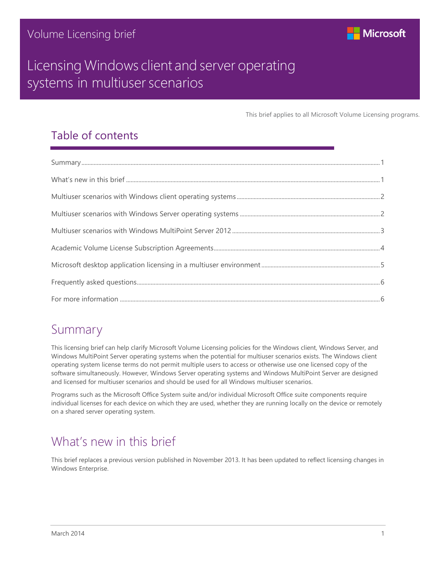

This brief applies to all Microsoft Volume Licensing programs.

### Table of contents

### <span id="page-0-0"></span>Summary

This licensing brief can help clarify Microsoft Volume Licensing policies for the Windows client, Windows Server, and Windows MultiPoint Server operating systems when the potential for multiuser scenarios exists. The Windows client operating system license terms do not permit multiple users to access or otherwise use one licensed copy of the software simultaneously. However, Windows Server operating systems and Windows MultiPoint Server are designed and licensed for multiuser scenarios and should be used for all Windows multiuser scenarios.

Programs such as the Microsoft Office System suite and/or individual Microsoft Office suite components require individual licenses for each device on which they are used, whether they are running locally on the device or remotely on a shared server operating system.

## <span id="page-0-1"></span>What's new in this brief

This brief replaces a previous version published in November 2013. It has been updated to reflect licensing changes in Windows Enterprise.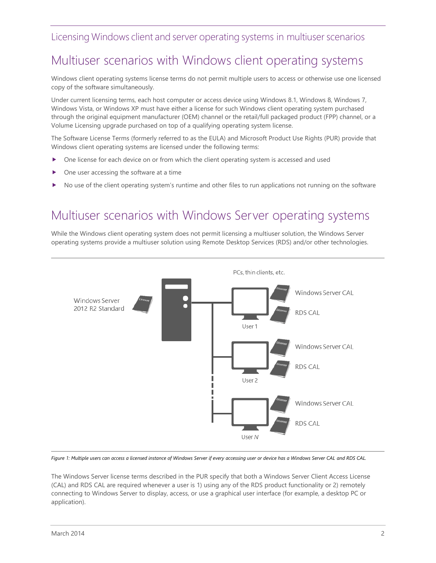# <span id="page-1-0"></span>Multiuser scenarios with Windows client operating systems

Windows client operating systems license terms do not permit multiple users to access or otherwise use one licensed copy of the software simultaneously.

Under current licensing terms, each host computer or access device using Windows 8.1, Windows 8, Windows 7, Windows Vista, or Windows XP must have either a license for such Windows client operating system purchased through the original equipment manufacturer (OEM) channel or the retail/full packaged product (FPP) channel, or a Volume Licensing upgrade purchased on top of a qualifying operating system license.

The Software License Terms (formerly referred to as the EULA) and [Microsoft Product Use Rights](http://www.microsoftvolumelicensing.com/userights/PUR.aspx) (PUR) provide that Windows client operating systems are licensed under the following terms:

- One license for each device on or from which the client operating system is accessed and used
- One user accessing the software at a time
- <span id="page-1-1"></span>No use of the client operating system's runtime and other files to run applications not running on the software

### Multiuser scenarios with Windows Server operating systems

While the Windows client operating system does not permit licensing a multiuser solution, the Windows Server operating systems provide a multiuser solution using Remote Desktop Services (RDS) and/or other technologies.



*Figure 1: Multiple users can access a licensed instance of Windows Server if every accessing user or device has a Windows Server CAL and RDS CAL.*

The Windows Server license terms described in the PUR specify that both a Windows Server Client Access License (CAL) and RDS CAL are required whenever a user is 1) using any of the RDS product functionality or 2) remotely connecting to Windows Server to display, access, or use a graphical user interface (for example, a desktop PC or application).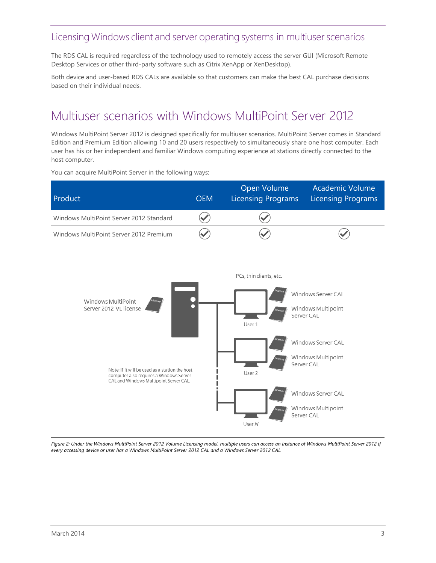The RDS CAL is required regardless of the technology used to remotely access the server GUI (Microsoft Remote Desktop Services or other third-party software such as Citrix XenApp or XenDesktop).

Both device and user-based RDS CALs are available so that customers can make the best CAL purchase decisions based on their individual needs.

## <span id="page-2-0"></span>Multiuser scenarios with Windows MultiPoint Server 2012

Windows MultiPoint Server 2012 is designed specifically for multiuser scenarios. MultiPoint Server comes in Standard Edition and Premium Edition allowing 10 and 20 users respectively to simultaneously share one host computer. Each user has his or her independent and familiar Windows computing experience at stations directly connected to the host computer.

You can acquire MultiPoint Server in the following ways:

| Product                                 | <b>OEM</b> | Open Volume<br><b>Licensing Programs</b> | Academic Volume<br>Licensing Programs |
|-----------------------------------------|------------|------------------------------------------|---------------------------------------|
| Windows MultiPoint Server 2012 Standard |            |                                          |                                       |
| Windows MultiPoint Server 2012 Premium  |            |                                          |                                       |



*Figure 2: Under the Windows MultiPoint Server 2012 Volume Licensing model, multiple users can access an instance of Windows MultiPoint Server 2012 if every accessing device or user has a Windows MultiPoint Server 2012 CAL and a Windows Server 2012 CAL.*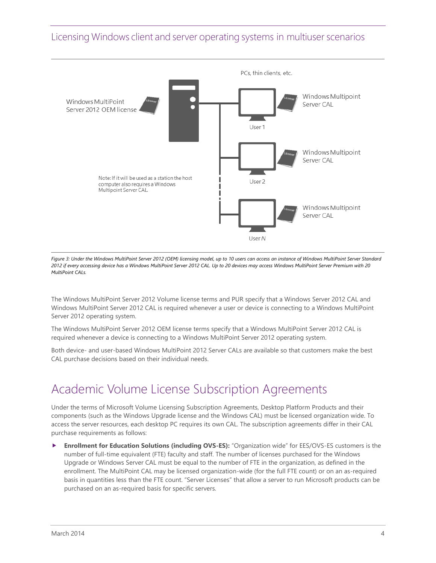

*Figure 3: Under the Windows MultiPoint Server 2012 (OEM) licensing model, up to 10 users can access an instance of Windows MultiPoint Server Standard 2012 if every accessing device has a Windows MultiPoint Server 2012 CAL. Up to 20 devices may access Windows MultiPoint Server Premium with 20 MultiPoint CALs.*

The Windows MultiPoint Server 2012 Volume license terms and PUR specify that a Windows Server 2012 CAL and Windows MultiPoint Server 2012 CAL is required whenever a user or device is connecting to a Windows MultiPoint Server 2012 operating system.

The Windows MultiPoint Server 2012 OEM license terms specify that a Windows MultiPoint Server 2012 CAL is required whenever a device is connecting to a Windows MultiPoint Server 2012 operating system.

Both device- and user-based Windows MultiPoint 2012 Server CALs are available so that customers make the best CAL purchase decisions based on their individual needs.

## <span id="page-3-0"></span>Academic Volume License Subscription Agreements

Under the terms of Microsoft Volume Licensing Subscription Agreements, Desktop Platform Products and their components (such as the Windows Upgrade license and the Windows CAL) must be licensed organization wide. To access the server resources, each desktop PC requires its own CAL. The subscription agreements differ in their CAL purchase requirements as follows:

 **Enrollment for Education Solutions (including OVS-ES):** "Organization wide" for EES/OVS-ES customers is the number of full-time equivalent (FTE) faculty and staff. The number of licenses purchased for the Windows Upgrade or Windows Server CAL must be equal to the number of FTE in the organization, as defined in the enrollment. The MultiPoint CAL may be licensed organization-wide (for the full FTE count) or on an as-required basis in quantities less than the FTE count. "Server Licenses" that allow a server to run Microsoft products can be purchased on an as-required basis for specific servers.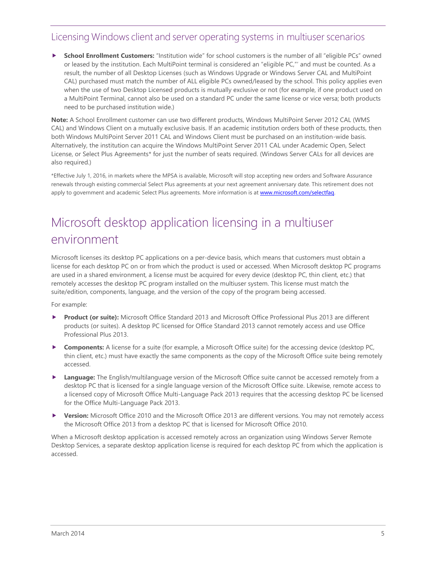**School Enrollment Customers:** "Institution wide" for school customers is the number of all "eligible PCs" owned or leased by the institution. Each MultiPoint terminal is considered an "eligible PC,"' and must be counted. As a result, the number of all Desktop Licenses (such as Windows Upgrade or Windows Server CAL and MultiPoint CAL) purchased must match the number of ALL eligible PCs owned/leased by the school. This policy applies even when the use of two Desktop Licensed products is mutually exclusive or not (for example, if one product used on a MultiPoint Terminal, cannot also be used on a standard PC under the same license or vice versa; both products need to be purchased institution wide.)

**Note:** A School Enrollment customer can use two different products, Windows MultiPoint Server 2012 CAL (WMS CAL) and Windows Client on a mutually exclusive basis. If an academic institution orders both of these products, then both Windows MultiPoint Server 2011 CAL and Windows Client must be purchased on an institution-wide basis. Alternatively, the institution can acquire the Windows MultiPoint Server 2011 CAL under Academic Open, Select License, or Select Plus Agreements\* for just the number of seats required. (Windows Server CALs for all devices are also required.)

\*Effective July 1, 2016, in markets where the MPSA is available, Microsoft will stop accepting new orders and Software Assurance renewals through existing commercial Select Plus agreements at your next agreement anniversary date. This retirement does not apply to government and academic Select Plus agreements. More information is at www.microsoft.com/selectfag.

# <span id="page-4-0"></span>Microsoft desktop application licensing in a multiuser environment

Microsoft licenses its desktop PC applications on a per-device basis, which means that customers must obtain a license for each desktop PC on or from which the product is used or accessed. When Microsoft desktop PC programs are used in a shared environment, a license must be acquired for every device (desktop PC, thin client, etc.) that remotely accesses the desktop PC program installed on the multiuser system. This license must match the suite/edition, components, language, and the version of the copy of the program being accessed.

For example:

- **Product (or suite):** Microsoft Office Standard 2013 and Microsoft Office Professional Plus 2013 are different products (or suites). A desktop PC licensed for Office Standard 2013 cannot remotely access and use Office Professional Plus 2013.
- ▶ **Components:** A license for a suite (for example, a Microsoft Office suite) for the accessing device (desktop PC, thin client, etc.) must have exactly the same components as the copy of the Microsoft Office suite being remotely accessed.
- **Language:** The English/multilanguage version of the Microsoft Office suite cannot be accessed remotely from a desktop PC that is licensed for a single language version of the Microsoft Office suite. Likewise, remote access to a licensed copy of Microsoft Office Multi-Language Pack 2013 requires that the accessing desktop PC be licensed for the Office Multi-Language Pack 2013.
- **Version:** Microsoft Office 2010 and the Microsoft Office 2013 are different versions. You may not remotely access the Microsoft Office 2013 from a desktop PC that is licensed for Microsoft Office 2010.

When a Microsoft desktop application is accessed remotely across an organization using Windows Server Remote Desktop Services, a separate desktop application license is required for each desktop PC from which the application is accessed.